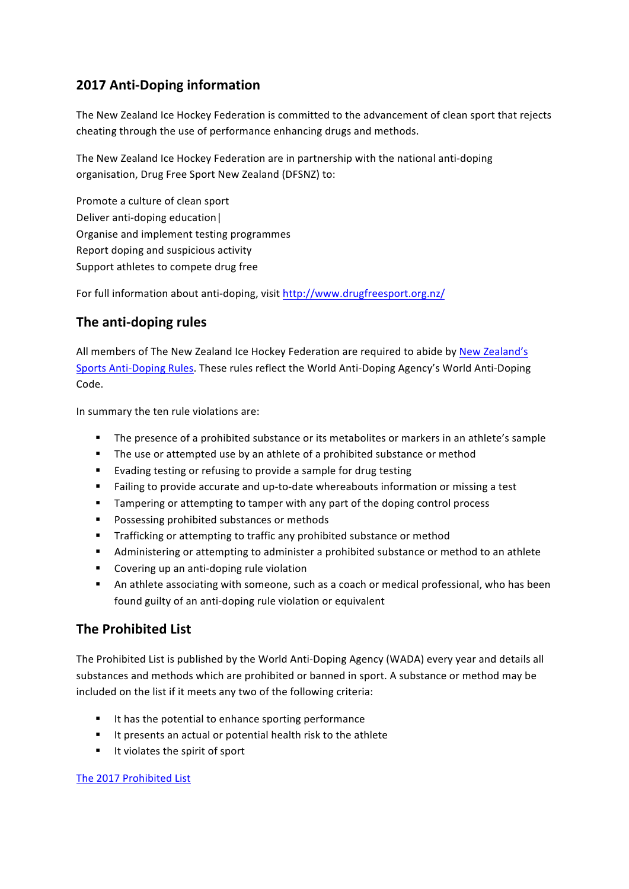## **2017 Anti-Doping information**

The New Zealand Ice Hockey Federation is committed to the advancement of clean sport that rejects cheating through the use of performance enhancing drugs and methods.

The New Zealand Ice Hockey Federation are in partnership with the national anti-doping organisation, Drug Free Sport New Zealand (DFSNZ) to:

Promote a culture of clean sport Deliver anti-doping education Organise and implement testing programmes Report doping and suspicious activity Support athletes to compete drug free

For full information about anti-doping, visit http://www.drugfreesport.org.nz/

## **The anti-doping rules**

All members of The New Zealand Ice Hockey Federation are required to abide by New Zealand's Sports Anti-Doping Rules. These rules reflect the World Anti-Doping Agency's World Anti-Doping Code. 

In summary the ten rule violations are:

- The presence of a prohibited substance or its metabolites or markers in an athlete's sample
- The use or attempted use by an athlete of a prohibited substance or method
- Evading testing or refusing to provide a sample for drug testing
- Failing to provide accurate and up-to-date whereabouts information or missing a test
- Tampering or attempting to tamper with any part of the doping control process
- Possessing prohibited substances or methods
- Trafficking or attempting to traffic any prohibited substance or method
- **•** Administering or attempting to administer a prohibited substance or method to an athlete
- Covering up an anti-doping rule violation
- An athlete associating with someone, such as a coach or medical professional, who has been found guilty of an anti-doping rule violation or equivalent

## **The Prohibited List**

The Prohibited List is published by the World Anti-Doping Agency (WADA) every year and details all substances and methods which are prohibited or banned in sport. A substance or method may be included on the list if it meets any two of the following criteria:

- It has the potential to enhance sporting performance
- It presents an actual or potential health risk to the athlete
- It violates the spirit of sport

The 2017 Prohibited List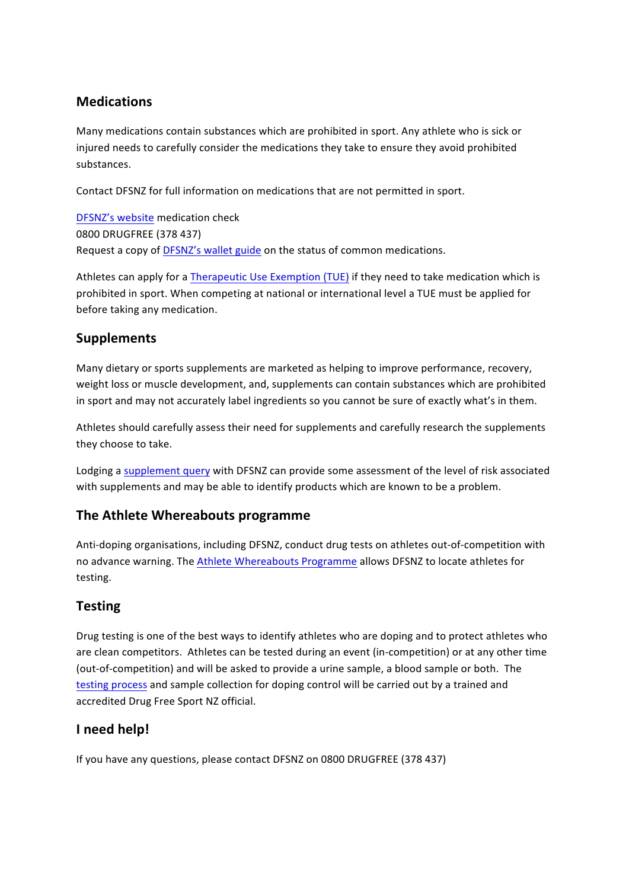## **Medications**

Many medications contain substances which are prohibited in sport. Any athlete who is sick or injured needs to carefully consider the medications they take to ensure they avoid prohibited substances.

Contact DFSNZ for full information on medications that are not permitted in sport.

DFSNZ's website medication check 0800 DRUGFREE (378 437) Request a copy of DFSNZ's wallet guide on the status of common medications.

Athletes can apply for a Therapeutic Use Exemption (TUE) if they need to take medication which is prohibited in sport. When competing at national or international level a TUE must be applied for before taking any medication.

#### **Supplements**

Many dietary or sports supplements are marketed as helping to improve performance, recovery, weight loss or muscle development, and, supplements can contain substances which are prohibited in sport and may not accurately label ingredients so you cannot be sure of exactly what's in them.

Athletes should carefully assess their need for supplements and carefully research the supplements they choose to take.

Lodging a supplement query with DFSNZ can provide some assessment of the level of risk associated with supplements and may be able to identify products which are known to be a problem.

#### **The Athlete Whereabouts programme**

Anti-doping organisations, including DFSNZ, conduct drug tests on athletes out-of-competition with no advance warning. The Athlete Whereabouts Programme allows DFSNZ to locate athletes for testing. 

#### **Testing**

Drug testing is one of the best ways to identify athletes who are doping and to protect athletes who are clean competitors. Athletes can be tested during an event (in-competition) or at any other time (out-of-competition) and will be asked to provide a urine sample, a blood sample or both. The testing process and sample collection for doping control will be carried out by a trained and accredited Drug Free Sport NZ official.

#### **I need help!**

If you have any questions, please contact DFSNZ on 0800 DRUGFREE (378 437)